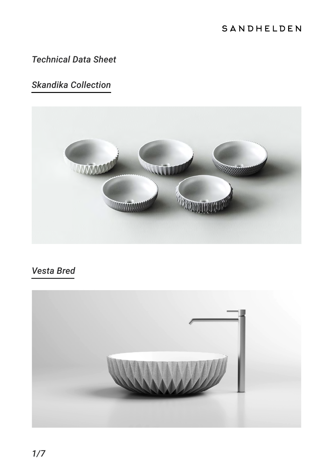#### SANDHELDEN

## *Technical Data Sheet*

# *Skandika Collection*



# *Vesta Bred*

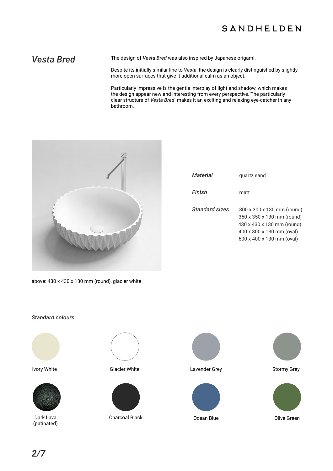#### SANDHELDEN

Vesta Bred The design of *Vesta Bred* was also inspired by Japanese origami.

Despite its initially similar line to *Vesta*, the design is clearly distinguished by slightly more open surfaces that give it additional calm as an object.

Particularly impressive is the gentle interplay of light and shadow, which makes the design appear new and interesting from every perspective. The particularly clear structure of *Vesta Bred* makes it an exciting and relaxing eye-catcher in any bathroom.



| Material              | quartz sand                                                                                                                                      |
|-----------------------|--------------------------------------------------------------------------------------------------------------------------------------------------|
| Finish                | matt                                                                                                                                             |
| <b>Standard sizes</b> | 300 x 300 x 130 mm (round)<br>350 x 350 x 130 mm (round)<br>430 x 430 x 130 mm (round)<br>400 x 300 x 130 mm (oval)<br>600 x 400 x 130 mm (oval) |

above: 430 x 430 x 130 mm (round), glacier white

#### *Standard colours*





Dark Lava (patinated)





Charcoal Black **Ocean Blue** Ocean Blue **Olive Green** 





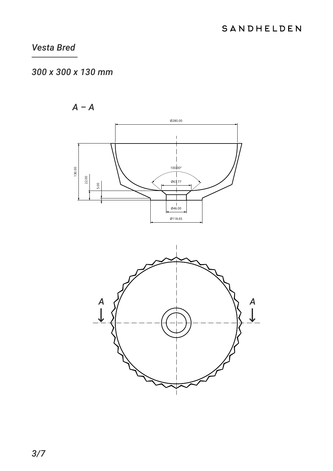## 300 x 300 x 130 mm



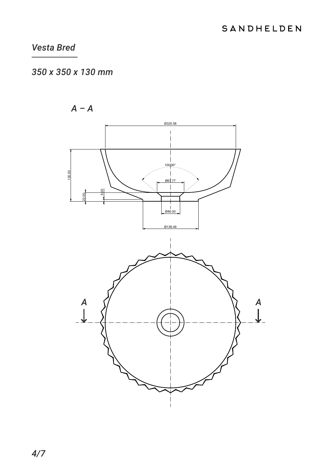# 350 x 350 x 130 mm



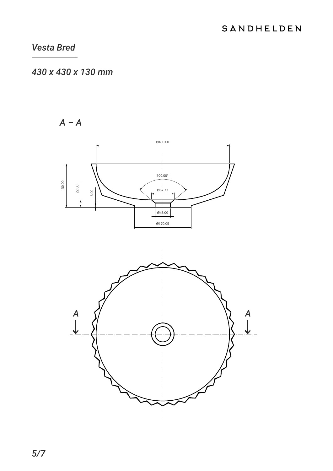## 430 x 430 x 130 mm



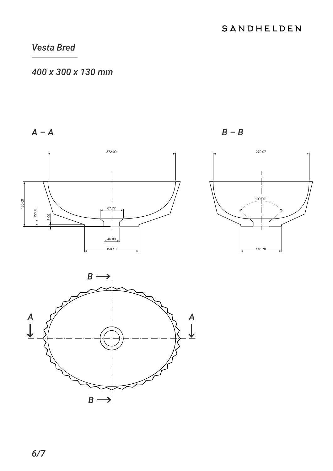# 400 x 300 x 130 mm